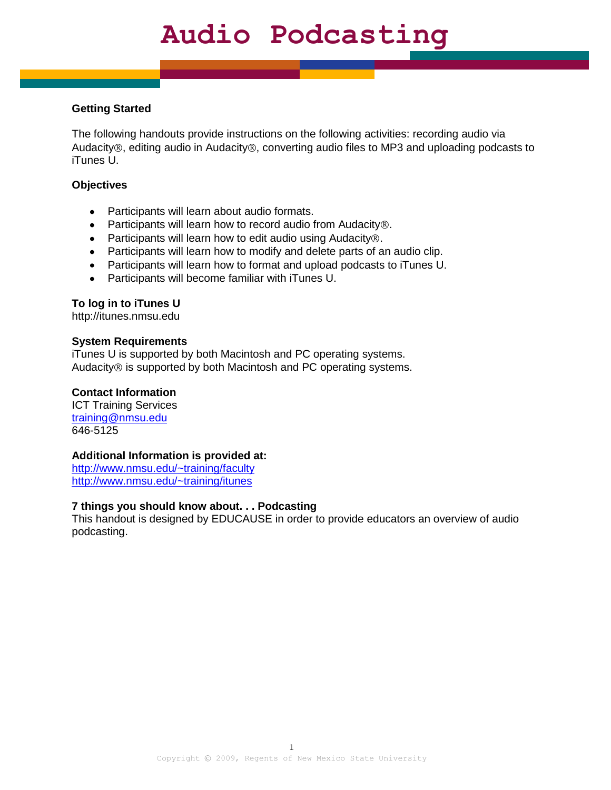### **Getting Started**

The following handouts provide instructions on the following activities: recording audio via Audacity®, editing audio in Audacity®, converting audio files to MP3 and uploading podcasts to iTunes U.

#### **Objectives**

- Participants will learn about audio formats.
- Participants will learn how to record audio from Audacity $\circledast$ .
- Participants will learn how to edit audio using Audacity  $\mathcal{D}$ .
- Participants will learn how to modify and delete parts of an audio clip.
- Participants will learn how to format and upload podcasts to iTunes U.
- Participants will become familiar with iTunes U.

### **To log in to iTunes U**

http://itunes.nmsu.edu

#### **System Requirements**

iTunes U is supported by both Macintosh and PC operating systems. Audacity® is supported by both Macintosh and PC operating systems.

#### **Contact Information**

ICT Training Services [training@nmsu.edu](mailto:training@nmsu.edu) 646-5125

#### **Additional Information is provided at:**

<http://www.nmsu.edu/~training/faculty> <http://www.nmsu.edu/~training/itunes>

### **7 things you should know about. . . Podcasting**

This handout is designed by EDUCAUSE in order to provide educators an overview of audio podcasting.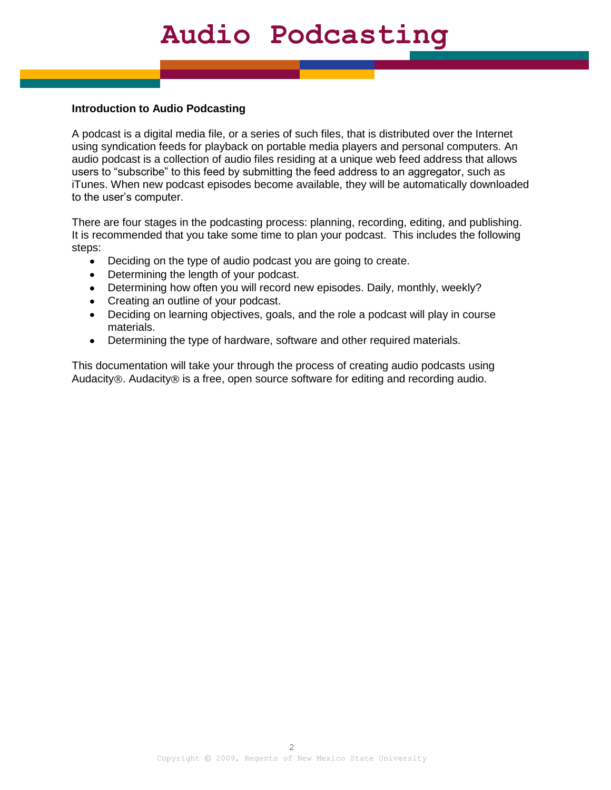#### **Introduction to Audio Podcasting**

A podcast is a digital media file, or a series of such files, that is distributed over the Internet using syndication feeds for playback on portable media players and personal computers. An audio podcast is a collection of audio files residing at a unique web feed address that allows users to "subscribe" to this feed by submitting the feed address to an aggregator, such as iTunes. When new podcast episodes become available, they will be automatically downloaded to the user's computer.

There are four stages in the podcasting process: planning, recording, editing, and publishing. It is recommended that you take some time to plan your podcast. This includes the following steps:

- Deciding on the type of audio podcast you are going to create.  $\bullet$
- Determining the length of your podcast.
- Determining how often you will record new episodes. Daily, monthly, weekly?
- Creating an outline of your podcast.
- Deciding on learning objectives, goals, and the role a podcast will play in course  $\bullet$ materials.
- Determining the type of hardware, software and other required materials.  $\bullet$

This documentation will take your through the process of creating audio podcasts using Audacity  $\mathcal{R}$ . Audacity  $\mathcal{R}$  is a free, open source software for editing and recording audio.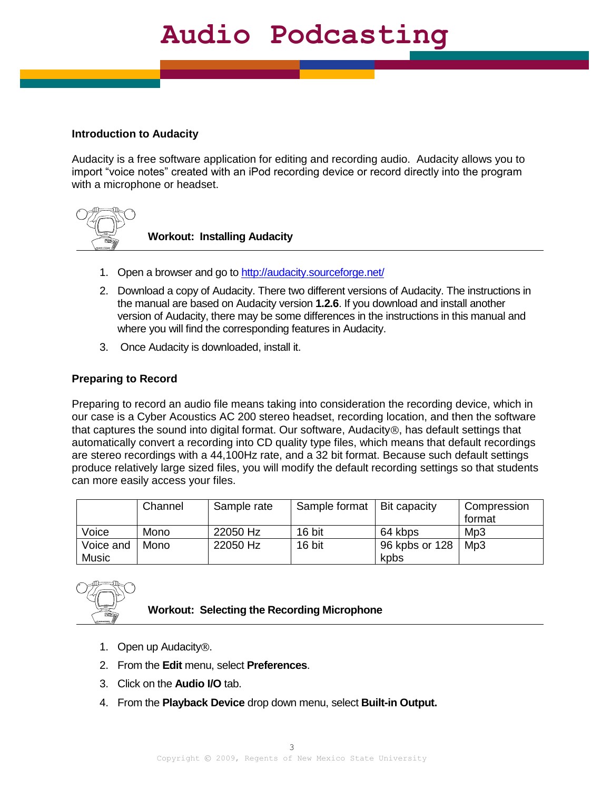### **Introduction to Audacity**

Audacity is a free software application for editing and recording audio. Audacity allows you to import "voice notes" created with an iPod recording device or record directly into the program with a microphone or headset.



**Workout: Installing Audacity**

- 1. Open a browser and go to<http://audacity.sourceforge.net/>
- 2. Download a copy of Audacity. There two different versions of Audacity. The instructions in the manual are based on Audacity version **1.2.6**. If you download and install another version of Audacity, there may be some differences in the instructions in this manual and where you will find the corresponding features in Audacity.
- 3. Once Audacity is downloaded, install it.

### **Preparing to Record**

Preparing to record an audio file means taking into consideration the recording device, which in our case is a Cyber Acoustics AC 200 stereo headset, recording location, and then the software that captures the sound into digital format. Our software, Audacity $\circledR$ , has default settings that automatically convert a recording into CD quality type files, which means that default recordings are stereo recordings with a 44,100Hz rate, and a 32 bit format. Because such default settings produce relatively large sized files, you will modify the default recording settings so that students can more easily access your files.

|              | Channel | Sample rate | Sample format | Bit capacity   | Compression<br>format |
|--------------|---------|-------------|---------------|----------------|-----------------------|
| Voice        | Mono    | 22050 Hz    | 16 bit        | 64 kbps        | Mp3                   |
| Voice and    | Mono    | 22050 Hz    | 16 bit        | 96 kpbs or 128 | Mp3                   |
| <b>Music</b> |         |             |               | kpbs           |                       |



#### **Workout: Selecting the Recording Microphone**

- 1. Open up Audacity<sup>®</sup>.
- 2. From the **Edit** menu, select **Preferences**.
- 3. Click on the **Audio I/O** tab.
- 4. From the **Playback Device** drop down menu, select **Built-in Output.**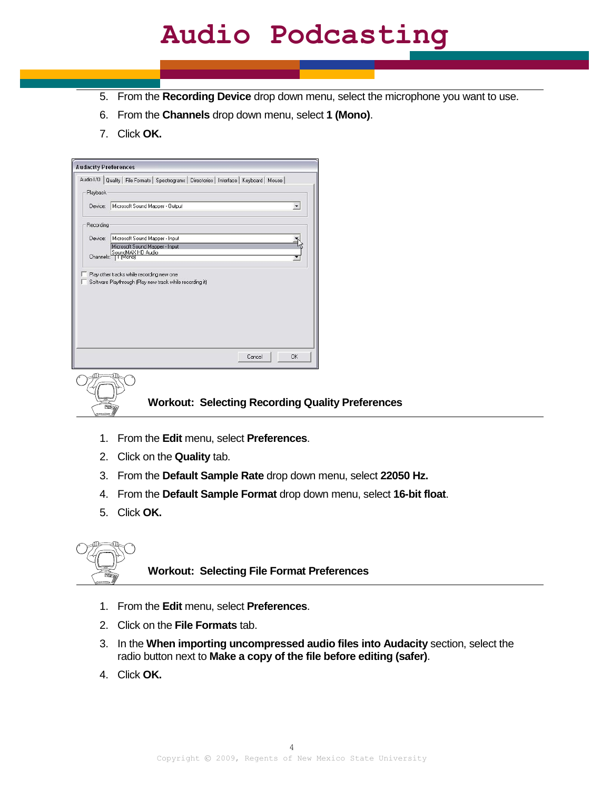- 5. From the **Recording Device** drop down menu, select the microphone you want to use.
- 6. From the **Channels** drop down menu, select **1 (Mono)**.
- 7. Click **OK.**

| Audio I/O | Quality   File Formats   Spectrograms   Directories   Interface   Keyboard   Mouse |  |
|-----------|------------------------------------------------------------------------------------|--|
| Playback  |                                                                                    |  |
| Device:   | Microsoft Sound Mapper - Output                                                    |  |
|           |                                                                                    |  |
| Recording |                                                                                    |  |
| Device:   | Microsoft Sound Mapper - Input                                                     |  |
|           | Microsoft Sound Mapper - Input<br>SoundMAX HD Audio                                |  |
| Channels: | I I Monol                                                                          |  |
|           | Play other tracks while recording new one                                          |  |
|           | Software Playthrough (Play new track while recording it)                           |  |

**Workout: Selecting Recording Quality Preferences**

- 1. From the **Edit** menu, select **Preferences**.
- 2. Click on the **Quality** tab.
- 3. From the **Default Sample Rate** drop down menu, select **22050 Hz.**
- 4. From the **Default Sample Format** drop down menu, select **16-bit float**.
- 5. Click **OK.**



**Workout: Selecting File Format Preferences**

- 1. From the **Edit** menu, select **Preferences**.
- 2. Click on the **File Formats** tab.
- 3. In the **When importing uncompressed audio files into Audacity** section, select the radio button next to **Make a copy of the file before editing (safer)**.
- 4. Click **OK.**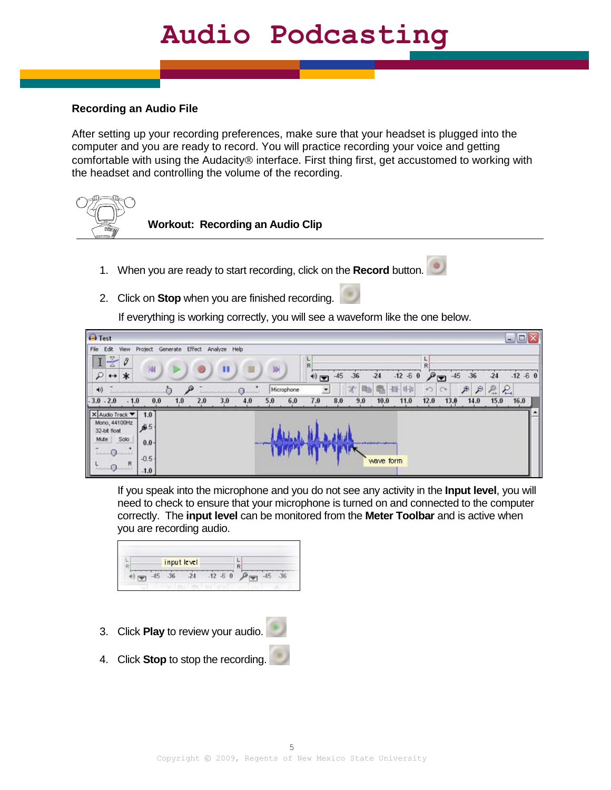### **Recording an Audio File**

After setting up your recording preferences, make sure that your headset is plugged into the computer and you are ready to record. You will practice recording your voice and getting comfortable with using the Audacity<sup>®</sup> interface. First thing first, get accustomed to working with the headset and controlling the volume of the recording.



**Workout: Recording an Audio Clip**

- 1. When you are ready to start recording, click on the **Record** button.
- 2. Click on **Stop** when you are finished recording.

If everything is working correctly, you will see a waveform like the one below.



If you speak into the microphone and you do not see any activity in the **Input level**, you will need to check to ensure that your microphone is turned on and connected to the computer correctly. The **input level** can be monitored from the **Meter Toolbar** and is active when you are recording audio.

|  | input level |  |  |  |  |
|--|-------------|--|--|--|--|
|  |             |  |  |  |  |

- 3. Click **Play** to review your audio.
- 4. Click **Stop** to stop the recording.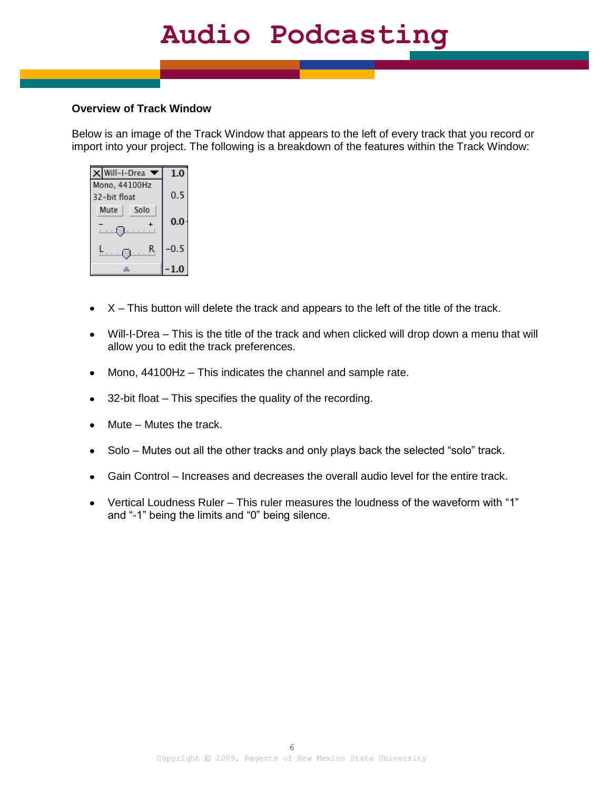#### **Overview of Track Window**

Below is an image of the Track Window that appears to the left of every track that you record or import into your project. The following is a breakdown of the features within the Track Window:

| Will-I-Drea               | 1.0    |
|---------------------------|--------|
| Mono, 44100Hz             |        |
| 32-bit float              | 0.5    |
| Solo<br>Mute              |        |
|                           | 0.0    |
| <b>Links</b><br>and a set |        |
| <b>DOM:</b><br>۰.,        | $-0.5$ |
|                           |        |
|                           |        |

- $\bullet$   $X$  This button will delete the track and appears to the left of the title of the track.
- Will-I-Drea This is the title of the track and when clicked will drop down a menu that will allow you to edit the track preferences.
- Mono, 44100Hz This indicates the channel and sample rate.  $\bullet$
- 32-bit float This specifies the quality of the recording.  $\bullet$
- Mute Mutes the track.
- Solo Mutes out all the other tracks and only plays back the selected "solo" track.
- Gain Control Increases and decreases the overall audio level for the entire track.
- Vertical Loudness Ruler This ruler measures the loudness of the waveform with "1" and "-1" being the limits and "0" being silence.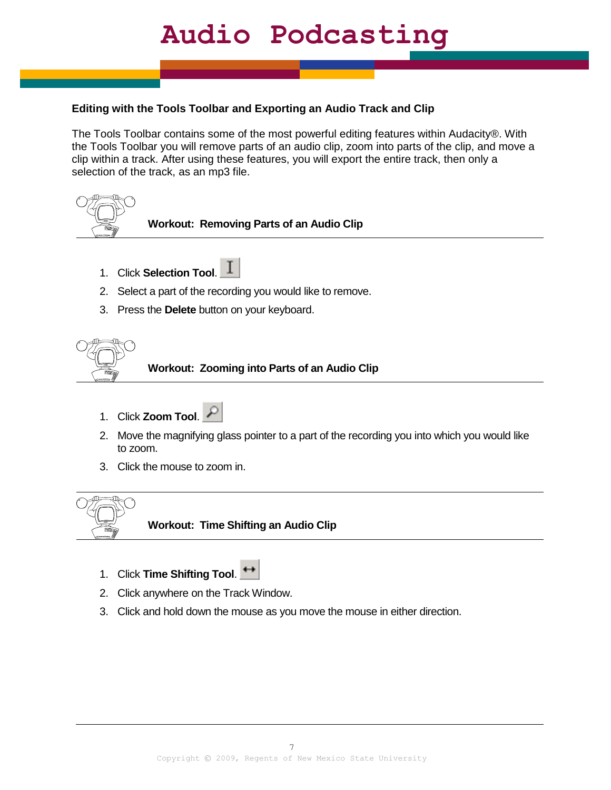### **Editing with the Tools Toolbar and Exporting an Audio Track and Clip**

The Tools Toolbar contains some of the most powerful editing features within Audacity®. With the Tools Toolbar you will remove parts of an audio clip, zoom into parts of the clip, and move a clip within a track. After using these features, you will export the entire track, then only a selection of the track, as an mp3 file.



**Workout: Removing Parts of an Audio Clip**

- 1. Click **Selection Tool**.
- 2. Select a part of the recording you would like to remove.
- 3. Press the **Delete** button on your keyboard.



**Workout: Zooming into Parts of an Audio Clip**

- 1. Click **Zoom Tool**.
- 2. Move the magnifying glass pointer to a part of the recording you into which you would like to zoom.
- 3. Click the mouse to zoom in.



- 1. Click **Time Shifting Tool**.
- 2. Click anywhere on the Track Window.
- 3. Click and hold down the mouse as you move the mouse in either direction.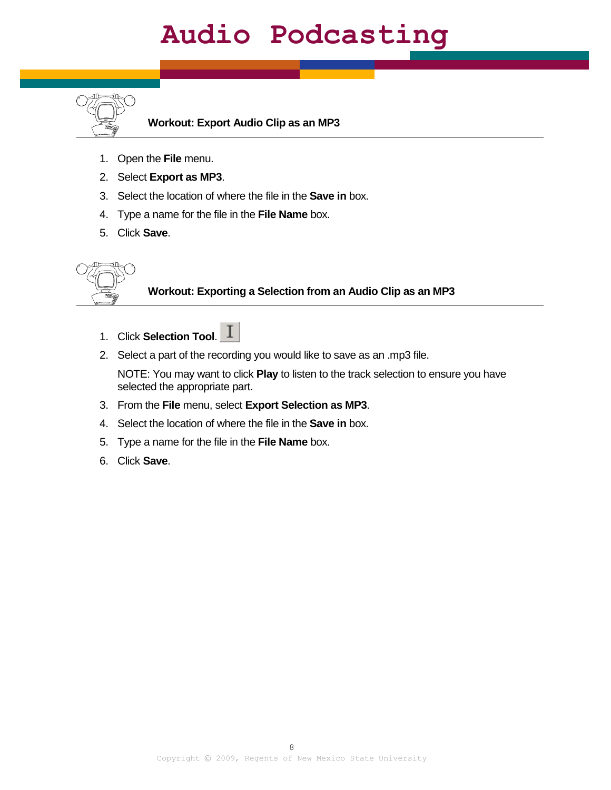

**Workout: Export Audio Clip as an MP3** 

- 1. Open the **File** menu.
- 2. Select **Export as MP3**.
- 3. Select the location of where the file in the **Save in** box.
- 4. Type a name for the file in the **File Name** box.
- 5. Click **Save**.



### **Workout: Exporting a Selection from an Audio Clip as an MP3**

- 1. Click **Selection Tool**.
- 2. Select a part of the recording you would like to save as an .mp3 file.

NOTE: You may want to click **Play** to listen to the track selection to ensure you have selected the appropriate part.

- 3. From the **File** menu, select **Export Selection as MP3**.
- 4. Select the location of where the file in the **Save in** box.
- 5. Type a name for the file in the **File Name** box.
- 6. Click **Save**.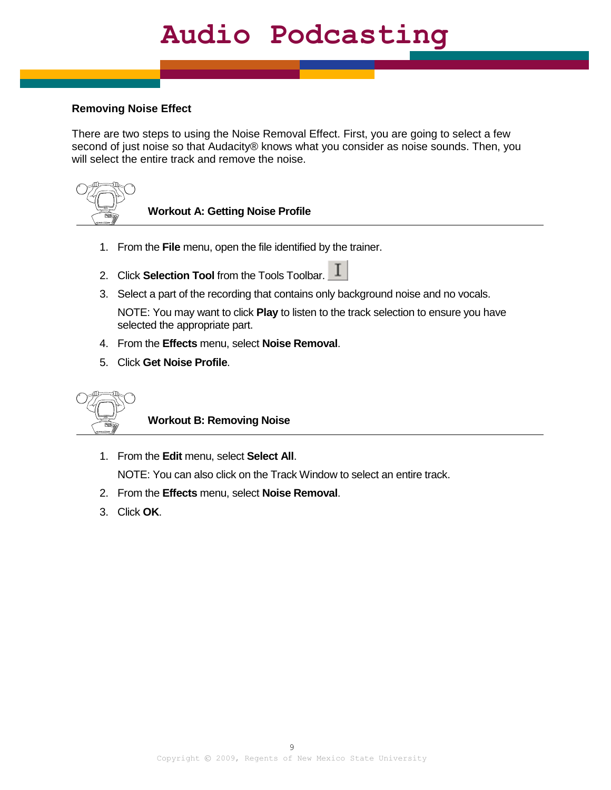### **Removing Noise Effect**

There are two steps to using the Noise Removal Effect. First, you are going to select a few second of just noise so that Audacity® knows what you consider as noise sounds. Then, you will select the entire track and remove the noise.



**Workout A: Getting Noise Profile**

- 1. From the **File** menu, open the file identified by the trainer.
- 2. Click **Selection Tool** from the Tools Toolbar.  $\boxed{\mathbf{I}}$
- 3. Select a part of the recording that contains only background noise and no vocals.

NOTE: You may want to click **Play** to listen to the track selection to ensure you have selected the appropriate part.

- 4. From the **Effects** menu, select **Noise Removal**.
- 5. Click **Get Noise Profile**.



**Workout B: Removing Noise**

- 1. From the **Edit** menu, select **Select All**. NOTE: You can also click on the Track Window to select an entire track.
- 2. From the **Effects** menu, select **Noise Removal**.
- 3. Click **OK**.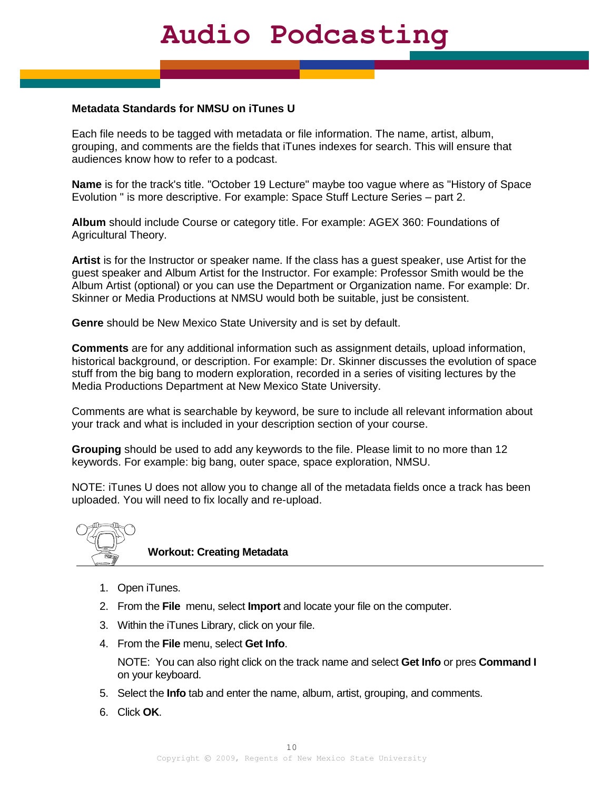#### **Metadata Standards for NMSU on iTunes U**

Each file needs to be tagged with metadata or file information. The name, artist, album, grouping, and comments are the fields that iTunes indexes for search. This will ensure that audiences know how to refer to a podcast.

**Name** is for the track's title. "October 19 Lecture" maybe too vague where as "History of Space Evolution " is more descriptive. For example: Space Stuff Lecture Series – part 2.

**Album** should include Course or category title. For example: AGEX 360: Foundations of Agricultural Theory.

**Artist** is for the Instructor or speaker name. If the class has a guest speaker, use Artist for the guest speaker and Album Artist for the Instructor. For example: Professor Smith would be the Album Artist (optional) or you can use the Department or Organization name. For example: Dr. Skinner or Media Productions at NMSU would both be suitable, just be consistent.

**Genre** should be New Mexico State University and is set by default.

**Comments** are for any additional information such as assignment details, upload information, historical background, or description. For example: Dr. Skinner discusses the evolution of space stuff from the big bang to modern exploration, recorded in a series of visiting lectures by the Media Productions Department at New Mexico State University.

Comments are what is searchable by keyword, be sure to include all relevant information about your track and what is included in your description section of your course.

**Grouping** should be used to add any keywords to the file. Please limit to no more than 12 keywords. For example: big bang, outer space, space exploration, NMSU.

NOTE: iTunes U does not allow you to change all of the metadata fields once a track has been uploaded. You will need to fix locally and re-upload.



#### **Workout: Creating Metadata**

- 1. Open iTunes.
- 2. From the **File** menu, select **Import** and locate your file on the computer.
- 3. Within the iTunes Library, click on your file.
- 4. From the **File** menu, select **Get Info**.

NOTE: You can also right click on the track name and select **Get Info** or pres **Command I** on your keyboard.

- 5. Select the **Info** tab and enter the name, album, artist, grouping, and comments.
- 6. Click **OK**.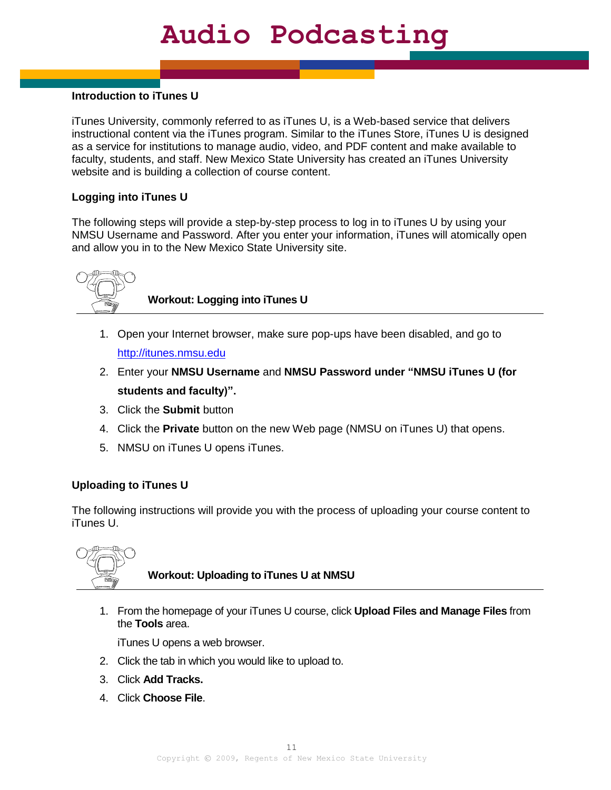### **Introduction to iTunes U**

iTunes University, commonly referred to as iTunes U, is a Web-based service that delivers instructional content via the iTunes program. Similar to the iTunes Store, iTunes U is designed as a service for institutions to manage audio, video, and PDF content and make available to faculty, students, and staff. New Mexico State University has created an iTunes University website and is building a collection of course content.

### **Logging into iTunes U**

The following steps will provide a step-by-step process to log in to iTunes U by using your NMSU Username and Password. After you enter your information, iTunes will atomically open and allow you in to the New Mexico State University site.



**Workout: Logging into iTunes U**

- 1. Open your Internet browser, make sure pop-ups have been disabled, and go to [http://itunes.nmsu.edu](http://itunes.nmsu.edu/)
- 2. Enter your **NMSU Username** and **NMSU Password under "NMSU iTunes U (for students and faculty)".**
- 3. Click the **Submit** button
- 4. Click the **Private** button on the new Web page (NMSU on iTunes U) that opens.
- 5. NMSU on iTunes U opens iTunes.

#### **Uploading to iTunes U**

The following instructions will provide you with the process of uploading your course content to iTunes U.



**Workout: Uploading to iTunes U at NMSU**

1. From the homepage of your iTunes U course, click **Upload Files and Manage Files** from the **Tools** area.

iTunes U opens a web browser.

- 2. Click the tab in which you would like to upload to.
- 3. Click **Add Tracks.**
- 4. Click **Choose File**.